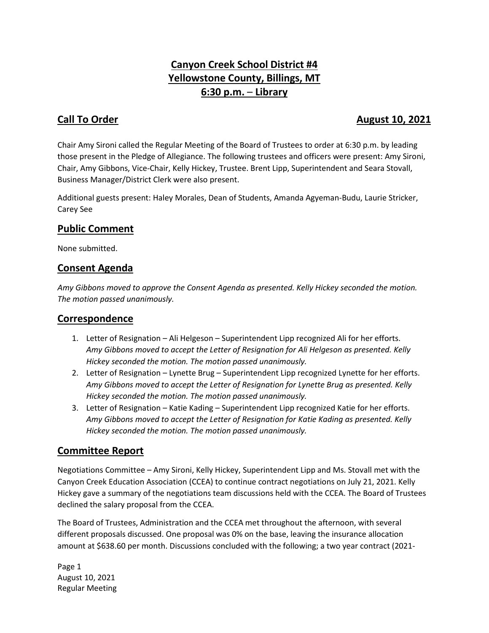# **Canyon Creek School District #4 Yellowstone County, Billings, MT 6:30 p.m.** – **Library**

## **Call To Order Call To Order August 10, 2021**

Chair Amy Sironi called the Regular Meeting of the Board of Trustees to order at 6:30 p.m. by leading those present in the Pledge of Allegiance. The following trustees and officers were present: Amy Sironi, Chair, Amy Gibbons, Vice-Chair, Kelly Hickey, Trustee. Brent Lipp, Superintendent and Seara Stovall, Business Manager/District Clerk were also present.

Additional guests present: Haley Morales, Dean of Students, Amanda Agyeman-Budu, Laurie Stricker, Carey See

## **Public Comment**

None submitted.

## **Consent Agenda**

*Amy Gibbons moved to approve the Consent Agenda as presented. Kelly Hickey seconded the motion. The motion passed unanimously.* 

## **Correspondence**

- 1. Letter of Resignation Ali Helgeson Superintendent Lipp recognized Ali for her efforts. *Amy Gibbons moved to accept the Letter of Resignation for Ali Helgeson as presented. Kelly Hickey seconded the motion. The motion passed unanimously.*
- 2. Letter of Resignation Lynette Brug Superintendent Lipp recognized Lynette for her efforts. *Amy Gibbons moved to accept the Letter of Resignation for Lynette Brug as presented. Kelly Hickey seconded the motion. The motion passed unanimously.*
- 3. Letter of Resignation Katie Kading Superintendent Lipp recognized Katie for her efforts. *Amy Gibbons moved to accept the Letter of Resignation for Katie Kading as presented. Kelly Hickey seconded the motion. The motion passed unanimously.*

## **Committee Report**

Negotiations Committee – Amy Sironi, Kelly Hickey, Superintendent Lipp and Ms. Stovall met with the Canyon Creek Education Association (CCEA) to continue contract negotiations on July 21, 2021. Kelly Hickey gave a summary of the negotiations team discussions held with the CCEA. The Board of Trustees declined the salary proposal from the CCEA.

The Board of Trustees, Administration and the CCEA met throughout the afternoon, with several different proposals discussed. One proposal was 0% on the base, leaving the insurance allocation amount at \$638.60 per month. Discussions concluded with the following; a two year contract (2021-

Page 1 August 10, 2021 Regular Meeting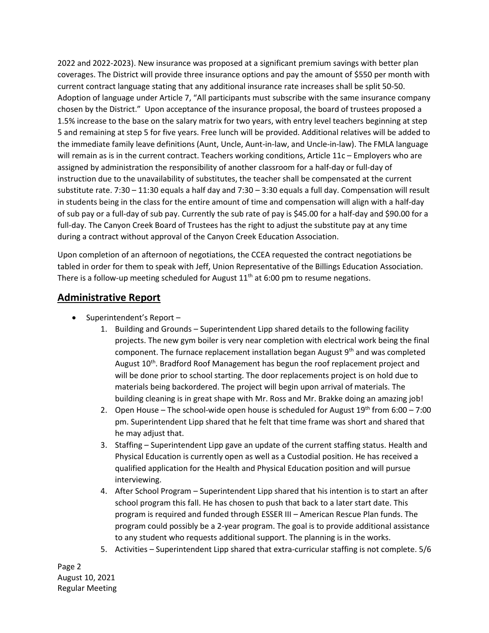2022 and 2022-2023). New insurance was proposed at a significant premium savings with better plan coverages. The District will provide three insurance options and pay the amount of \$550 per month with current contract language stating that any additional insurance rate increases shall be split 50-50. Adoption of language under Article 7, "All participants must subscribe with the same insurance company chosen by the District." Upon acceptance of the insurance proposal, the board of trustees proposed a 1.5% increase to the base on the salary matrix for two years, with entry level teachers beginning at step 5 and remaining at step 5 for five years. Free lunch will be provided. Additional relatives will be added to the immediate family leave definitions (Aunt, Uncle, Aunt-in-law, and Uncle-in-law). The FMLA language will remain as is in the current contract. Teachers working conditions, Article 11c – Employers who are assigned by administration the responsibility of another classroom for a half-day or full-day of instruction due to the unavailability of substitutes, the teacher shall be compensated at the current substitute rate. 7:30 – 11:30 equals a half day and 7:30 – 3:30 equals a full day. Compensation will result in students being in the class for the entire amount of time and compensation will align with a half-day of sub pay or a full-day of sub pay. Currently the sub rate of pay is \$45.00 for a half-day and \$90.00 for a full-day. The Canyon Creek Board of Trustees has the right to adjust the substitute pay at any time during a contract without approval of the Canyon Creek Education Association.

Upon completion of an afternoon of negotiations, the CCEA requested the contract negotiations be tabled in order for them to speak with Jeff, Union Representative of the Billings Education Association. There is a follow-up meeting scheduled for August  $11<sup>th</sup>$  at 6:00 pm to resume negations.

#### **Administrative Report**

- Superintendent's Report -
	- 1. Building and Grounds Superintendent Lipp shared details to the following facility projects. The new gym boiler is very near completion with electrical work being the final component. The furnace replacement installation began August 9<sup>th</sup> and was completed August 10<sup>th</sup>. Bradford Roof Management has begun the roof replacement project and will be done prior to school starting. The door replacements project is on hold due to materials being backordered. The project will begin upon arrival of materials. The building cleaning is in great shape with Mr. Ross and Mr. Brakke doing an amazing job!
	- 2. Open House The school-wide open house is scheduled for August  $19^{th}$  from 6:00 7:00 pm. Superintendent Lipp shared that he felt that time frame was short and shared that he may adjust that.
	- 3. Staffing Superintendent Lipp gave an update of the current staffing status. Health and Physical Education is currently open as well as a Custodial position. He has received a qualified application for the Health and Physical Education position and will pursue interviewing.
	- 4. After School Program Superintendent Lipp shared that his intention is to start an after school program this fall. He has chosen to push that back to a later start date. This program is required and funded through ESSER III – American Rescue Plan funds. The program could possibly be a 2-year program. The goal is to provide additional assistance to any student who requests additional support. The planning is in the works.
	- 5. Activities Superintendent Lipp shared that extra-curricular staffing is not complete. 5/6

Page 2 August 10, 2021 Regular Meeting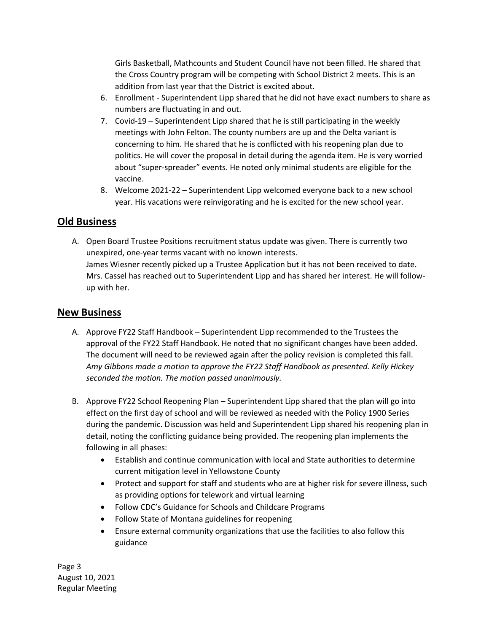Girls Basketball, Mathcounts and Student Council have not been filled. He shared that the Cross Country program will be competing with School District 2 meets. This is an addition from last year that the District is excited about.

- 6. Enrollment Superintendent Lipp shared that he did not have exact numbers to share as numbers are fluctuating in and out.
- 7. Covid-19 Superintendent Lipp shared that he is still participating in the weekly meetings with John Felton. The county numbers are up and the Delta variant is concerning to him. He shared that he is conflicted with his reopening plan due to politics. He will cover the proposal in detail during the agenda item. He is very worried about "super-spreader" events. He noted only minimal students are eligible for the vaccine.
- 8. Welcome 2021-22 Superintendent Lipp welcomed everyone back to a new school year. His vacations were reinvigorating and he is excited for the new school year.

#### **Old Business**

A. Open Board Trustee Positions recruitment status update was given. There is currently two unexpired, one-year terms vacant with no known interests. James Wiesner recently picked up a Trustee Application but it has not been received to date. Mrs. Cassel has reached out to Superintendent Lipp and has shared her interest. He will followup with her.

#### **New Business**

- A. Approve FY22 Staff Handbook Superintendent Lipp recommended to the Trustees the approval of the FY22 Staff Handbook. He noted that no significant changes have been added. The document will need to be reviewed again after the policy revision is completed this fall. *Amy Gibbons made a motion to approve the FY22 Staff Handbook as presented. Kelly Hickey seconded the motion. The motion passed unanimously.*
- B. Approve FY22 School Reopening Plan Superintendent Lipp shared that the plan will go into effect on the first day of school and will be reviewed as needed with the Policy 1900 Series during the pandemic. Discussion was held and Superintendent Lipp shared his reopening plan in detail, noting the conflicting guidance being provided. The reopening plan implements the following in all phases:
	- Establish and continue communication with local and State authorities to determine current mitigation level in Yellowstone County
	- Protect and support for staff and students who are at higher risk for severe illness, such as providing options for telework and virtual learning
	- Follow CDC's Guidance for Schools and Childcare Programs
	- Follow State of Montana guidelines for reopening
	- Ensure external community organizations that use the facilities to also follow this guidance

Page 3 August 10, 2021 Regular Meeting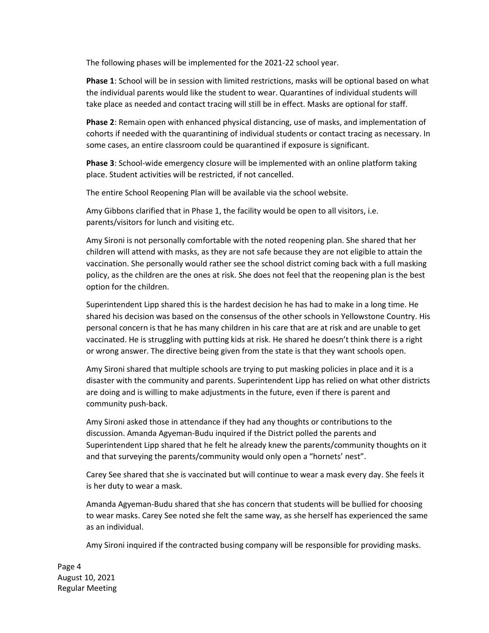The following phases will be implemented for the 2021-22 school year.

**Phase 1**: School will be in session with limited restrictions, masks will be optional based on what the individual parents would like the student to wear. Quarantines of individual students will take place as needed and contact tracing will still be in effect. Masks are optional for staff.

**Phase 2**: Remain open with enhanced physical distancing, use of masks, and implementation of cohorts if needed with the quarantining of individual students or contact tracing as necessary. In some cases, an entire classroom could be quarantined if exposure is significant.

**Phase 3**: School-wide emergency closure will be implemented with an online platform taking place. Student activities will be restricted, if not cancelled.

The entire School Reopening Plan will be available via the school website.

Amy Gibbons clarified that in Phase 1, the facility would be open to all visitors, i.e. parents/visitors for lunch and visiting etc.

Amy Sironi is not personally comfortable with the noted reopening plan. She shared that her children will attend with masks, as they are not safe because they are not eligible to attain the vaccination. She personally would rather see the school district coming back with a full masking policy, as the children are the ones at risk. She does not feel that the reopening plan is the best option for the children.

Superintendent Lipp shared this is the hardest decision he has had to make in a long time. He shared his decision was based on the consensus of the other schools in Yellowstone Country. His personal concern is that he has many children in his care that are at risk and are unable to get vaccinated. He is struggling with putting kids at risk. He shared he doesn't think there is a right or wrong answer. The directive being given from the state is that they want schools open.

Amy Sironi shared that multiple schools are trying to put masking policies in place and it is a disaster with the community and parents. Superintendent Lipp has relied on what other districts are doing and is willing to make adjustments in the future, even if there is parent and community push-back.

Amy Sironi asked those in attendance if they had any thoughts or contributions to the discussion. Amanda Agyeman-Budu inquired if the District polled the parents and Superintendent Lipp shared that he felt he already knew the parents/community thoughts on it and that surveying the parents/community would only open a "hornets' nest".

Carey See shared that she is vaccinated but will continue to wear a mask every day. She feels it is her duty to wear a mask.

Amanda Agyeman-Budu shared that she has concern that students will be bullied for choosing to wear masks. Carey See noted she felt the same way, as she herself has experienced the same as an individual.

Amy Sironi inquired if the contracted busing company will be responsible for providing masks.

Page 4 August 10, 2021 Regular Meeting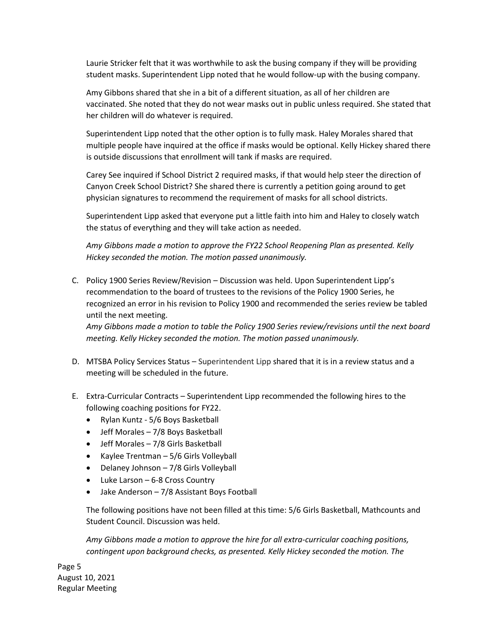Laurie Stricker felt that it was worthwhile to ask the busing company if they will be providing student masks. Superintendent Lipp noted that he would follow-up with the busing company.

Amy Gibbons shared that she in a bit of a different situation, as all of her children are vaccinated. She noted that they do not wear masks out in public unless required. She stated that her children will do whatever is required.

Superintendent Lipp noted that the other option is to fully mask. Haley Morales shared that multiple people have inquired at the office if masks would be optional. Kelly Hickey shared there is outside discussions that enrollment will tank if masks are required.

Carey See inquired if School District 2 required masks, if that would help steer the direction of Canyon Creek School District? She shared there is currently a petition going around to get physician signatures to recommend the requirement of masks for all school districts.

Superintendent Lipp asked that everyone put a little faith into him and Haley to closely watch the status of everything and they will take action as needed.

*Amy Gibbons made a motion to approve the FY22 School Reopening Plan as presented. Kelly Hickey seconded the motion. The motion passed unanimously.*

C. Policy 1900 Series Review/Revision – Discussion was held. Upon Superintendent Lipp's recommendation to the board of trustees to the revisions of the Policy 1900 Series, he recognized an error in his revision to Policy 1900 and recommended the series review be tabled until the next meeting.

*Amy Gibbons made a motion to table the Policy 1900 Series review/revisions until the next board meeting. Kelly Hickey seconded the motion. The motion passed unanimously.*

- D. MTSBA Policy Services Status Superintendent Lipp shared that it is in a review status and a meeting will be scheduled in the future.
- E. Extra-Curricular Contracts Superintendent Lipp recommended the following hires to the following coaching positions for FY22.
	- Rylan Kuntz 5/6 Boys Basketball
	- Jeff Morales 7/8 Boys Basketball
	- Jeff Morales 7/8 Girls Basketball
	- Kaylee Trentman 5/6 Girls Volleyball
	- Delaney Johnson 7/8 Girls Volleyball
	- Luke Larson 6-8 Cross Country
	- Jake Anderson 7/8 Assistant Boys Football

The following positions have not been filled at this time: 5/6 Girls Basketball, Mathcounts and Student Council. Discussion was held.

*Amy Gibbons made a motion to approve the hire for all extra-curricular coaching positions, contingent upon background checks, as presented. Kelly Hickey seconded the motion. The* 

Page 5 August 10, 2021 Regular Meeting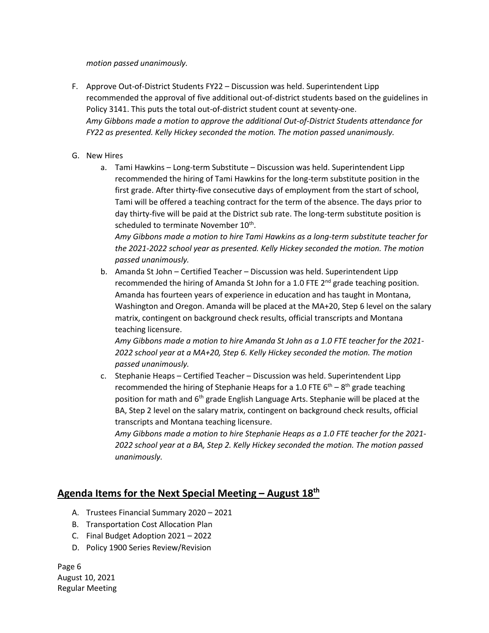#### *motion passed unanimously.*

- F. Approve Out-of-District Students FY22 Discussion was held. Superintendent Lipp recommended the approval of five additional out-of-district students based on the guidelines in Policy 3141. This puts the total out-of-district student count at seventy-one. *Amy Gibbons made a motion to approve the additional Out-of-District Students attendance for FY22 as presented. Kelly Hickey seconded the motion. The motion passed unanimously.*
- G. New Hires
	- a. Tami Hawkins Long-term Substitute Discussion was held. Superintendent Lipp recommended the hiring of Tami Hawkins for the long-term substitute position in the first grade. After thirty-five consecutive days of employment from the start of school, Tami will be offered a teaching contract for the term of the absence. The days prior to day thirty-five will be paid at the District sub rate. The long-term substitute position is scheduled to terminate November 10<sup>th</sup>.

*Amy Gibbons made a motion to hire Tami Hawkins as a long-term substitute teacher for the 2021-2022 school year as presented. Kelly Hickey seconded the motion. The motion passed unanimously.*

b. Amanda St John – Certified Teacher – Discussion was held. Superintendent Lipp recommended the hiring of Amanda St John for a 1.0 FTE 2<sup>nd</sup> grade teaching position. Amanda has fourteen years of experience in education and has taught in Montana, Washington and Oregon. Amanda will be placed at the MA+20, Step 6 level on the salary matrix, contingent on background check results, official transcripts and Montana teaching licensure.

*Amy Gibbons made a motion to hire Amanda St John as a 1.0 FTE teacher for the 2021- 2022 school year at a MA+20, Step 6. Kelly Hickey seconded the motion. The motion passed unanimously.*

c. Stephanie Heaps – Certified Teacher – Discussion was held. Superintendent Lipp recommended the hiring of Stephanie Heaps for a 1.0 FTE  $6^{th} - 8^{th}$  grade teaching position for math and 6<sup>th</sup> grade English Language Arts. Stephanie will be placed at the BA, Step 2 level on the salary matrix, contingent on background check results, official transcripts and Montana teaching licensure.

*Amy Gibbons made a motion to hire Stephanie Heaps as a 1.0 FTE teacher for the 2021- 2022 school year at a BA, Step 2. Kelly Hickey seconded the motion. The motion passed unanimously.*

## **Agenda Items for the Next Special Meeting – August 18th**

- A. Trustees Financial Summary 2020 2021
- B. Transportation Cost Allocation Plan
- C. Final Budget Adoption 2021 2022
- D. Policy 1900 Series Review/Revision

Page 6 August 10, 2021 Regular Meeting